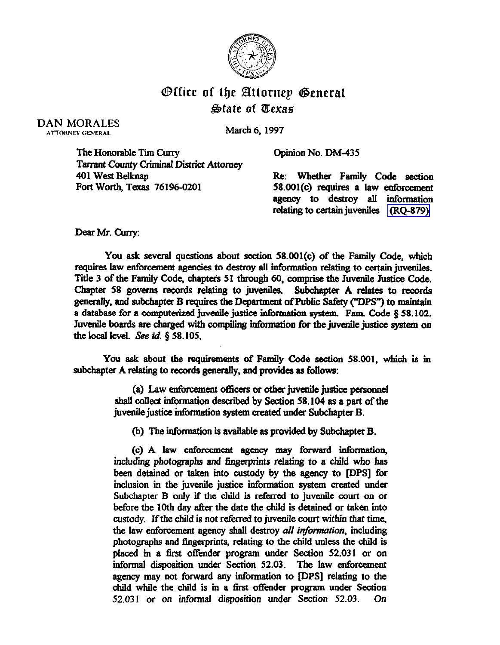

## **Office of the Attornep General** AiState of PCexas

DAN MORALES ATTOHNEY OENERAL

March 6,1997

Opinion No. DM-435

The Honorable Tim Curry **Tarrant County Criminal District Attorney** 401 West Belknap Fort Worth, Texas 76196-0201

Re: Whether Family Code section 58.001(c) requires a law enforcement agency to destroy all information relating to certain juveniles [\(BQ-879\)](http://intranet1.oag.state.tx.us/opinions/requests/rq0879.pdf) 

Dear Mr. Curry:

You ask several questions about section 58.001(c) of the Family Code, which requires law enforcement agencies to destroy all information relating to certain juveniles. Title 3 of the Family Code, chapters 51 through 60, comprise the Juvenile Justice Code. Chapter 58 governs records relating to juveniles. Subchapter A relates to records generally, and subchapter B requires the Department of Public Safety ("DPS") to maintain a database for a computerized juvenile justice information system. Fam. Code § 58.102. Juvenile boards are charged with compiling information for the juvenile justice system on the local level. See  $id. \S$  58.105.

You ask about the requirements of Family Code section 58.001, which is in subchapter A relating to records generally, and provides as follows:

> (a) Law enforcement officers or other juvenile justice personnel shall collect information described by Section 58.104 as a part of the juvenile justice information system created under Subchapter B.

(b) The information is available as provided by Subchapter B.

(c) A law enforcement agency may forward inthrmation, including photographs and fingerprints relating to a child who has been detained or taken into custody by the agency to [DPS] for inclusion in the juvenile justice information system created under Subchapter B only if the child is referred to juvenile court on or before the 10th day ather the date the child is detained or taken into custody. Jfthe child is not referred to juvenile court within that time, the law enforcement agency shall destroy all information, including photographs and fingerprints, relating to the child unless the child is placed in a first offider program under Section 52.031 or on informal disposition under Section 52.03. The law enforcement agency may not forward any information to [DPS] relating to the child while the child is in a first offender program under Section 52.031 or on informal disposition under Section 52.03. On 52.031 or on informal disposition under Section 52.03.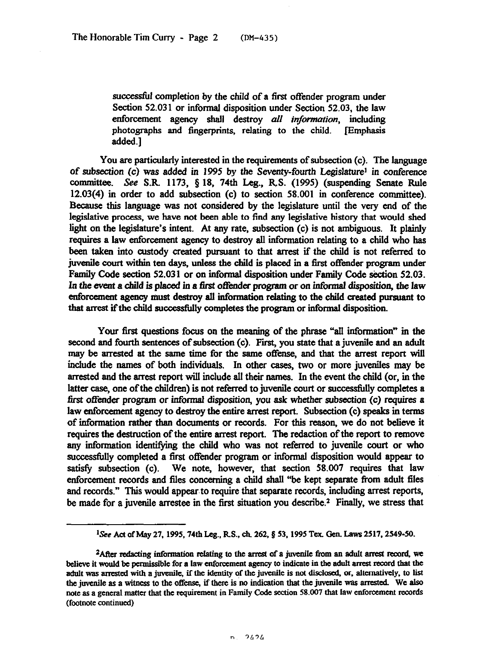successful completion by the child of a first offender program under Section 52.031 or informal disposition under Section 52.03, the law enforcement agency shall destroy all *infommtion,* including photographs and fingerprints, relating to the child. Emphasis added.]

You are particularly interested in the requirements of subsection (c). The language of subsection (c) was added in 1995 by the Seventy-fourth Legislature<sup>1</sup> in conference committee. See S.R. 1173, § 18, 74th Leg., R.S. (1995) (suspending Senate Rule 12.03(4) in order to add subsection (c) to section 58.001 in conference committee). Because this language was not considered by the legislature until the very end of the legislative process, we have not been able to find any legislative history that would shed light on the legislature's intent. At any rate, subsection (c) is not ambiguous. It plainly requires a law enforcement agency to destroy all information relating to a child who has been taken into custody created pursuant to that arrest if the child is not referred to juvenile court within ten days, unless the child is placed in a first offender program under Family Code section 52.03 1 or on informal disposition under Family Code section 52.03. In the event a child is placed in a first offender program or on informal disposition, the law enforcement agency must destroy all information relating to the child created pursuant to that arrest if the child successfully completes the program or informal disposition.

Your first questions focus on the meaning of the phrase "all information" in the second and fourth sentences of subsection (c). First, you state that a juvenile and an adult may be arrested at the same time for the same offense, and that the arrest report will include the names of both individuals. In other cases, two or more juveniles may be arrested and the srrest report will include all their names. In the event the child (or, in the latter case, one of the children) is not referred to juvenile court or successfully completes a first offender program or tiormal disposition, you ask whether subsection (c) requires *a*  law enforcement agency to destroy the entire arrest report. Subsection (c) speaks in terms of information rather than documents or records. For this reason, we do not believe it requires the destruction of the entire arrest report. The redaction of the report to remove any information identifying the child who was not referred to juvenile court or who successfully completed a first offender program or informal disposition would appear to satisfy subsection (c). We note, however, that section 58.007 requires that law enforcement records and fles concerning a child shall "be kept separate from adult files and records." This would appear to require that separate records, including arrest reports, be made for a juvenile arrestee in the first situation you describe.<sup>2</sup> Finally, we stress that

<sup>&</sup>lt;sup>1</sup>See Act of May 27, 1995, 74th Leg., R.S., ch. 262, § 53, 1995 Tex. Gen. Laws 2517, 2549-50.

<sup>&</sup>lt;sup>2</sup> After redacting information relating to the arrest of a juvenile from an adult arrest record, we believe it would be permissible for a law enforcement agency to indicate in the adult arrest record that the adult was arrested with a juvenile, if the identity of the juvenile is not disclosed, or, alternatively, to list the juvenile as a witness to the offense, if there is no indication that the juvenile was arrested. We also **note. as a general matter that the requirement in Family code section 58.007 that law enforcement records (footnote continued)**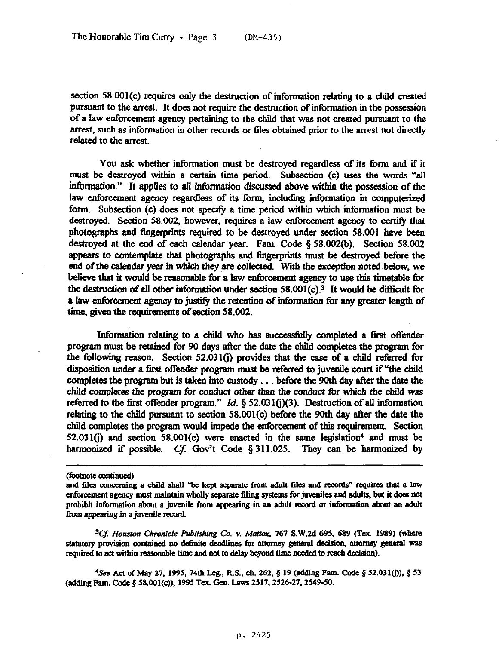section 58.001(c) requires only the destruction of information relating to a child created pursuant to the arrest. It does not require the destruction of information in the possession of a law enforcement agency pertaining to the child that was not created pursuant to the arrest, such as information in other records or files obtained prior to the arrest not directly related to the arrest.

You ask whether information must be destroyed regardless of its form and if it must be destroyed within a certain time period. Subsection (c) uses the words "all information." It applies to all infbrmation discussed above within the possession of the law enforcement agency regardless of its form, includmg information in computerized form. Subsection (c) does not specify a time period within which information must be destroyed. Section 58.002, however, requires a law enforcement agency to certify that photographs and fingerprints required to be destroyed under section 58.001 have been destroyed at the end of each calendar year. Fam. Code § 58.002(b). Section 58.002 appears to contemplate that photographs and fingerprints must be destroyed before the end of the calendar year in which they are collected. With the exception noted below, we believe that it would be reasonable for a law enforcement agency to use this timetable for the destruction of all other information under section 58.001(c).<sup>3</sup> It would be difficult for a law enfbrcement agency to justify the retention of information for any greater length of time, given the requirements of section 58.002.

Information relating to a child who has successfully completed a first offender program must be retained for 90 days after the date the child completes the program for the following reason. Section 52.0310) provides that the case of a child referred for disposition under a first offender program must be referred to juvenile court if "the child completes the program but is taken into custody . . . before the 90th day after the date the child completes the program for conduct other than the conduct for which the child was referred to the first offender program." Id.  $\S$  52.031(j)(3). Destruction of all information relating to the child pursuant to section 58.001(c) before the 90th day after the date the child completes the program would impede the enforcement of this requirement. Section 52.031(j) and section 58.001(c) were enacted in the same legislation4 and must be harmonized if possible. Cf. Gov't Code  $\S 311.025$ . They can be harmonized by

<sup>3</sup>Cf. Houston Chronicle Publishing Co. v. Mattox, 767 S.W.2d 695, 689 (Tex. 1989) (where statutory provision contained no definite deadlines for attorney general decision, attorney general was required to act within reasonable time and not to delay beyond time needed to reach decision).

**'See Ad of May** 27, **1995,74th Leg., RS., ch. 262.8 19 (adding Fam. Chde 5 52.031(j)), 0 53 (adding Fam. Code 5 58.001(c)), 1995 Tex. Gen. Laws 2517.2526-27.2549-50.** 

**<sup>(</sup>footaotc adimled)** 

and files concerning a child shall "be kept separate from adult files and records" requires that a law enforcement agency must maintain wholly separate filing systems for juveniles and adults, but it does not prohibit information about a juvenile from appearing in an adult record or information about an adult from appearing in a juvenile record.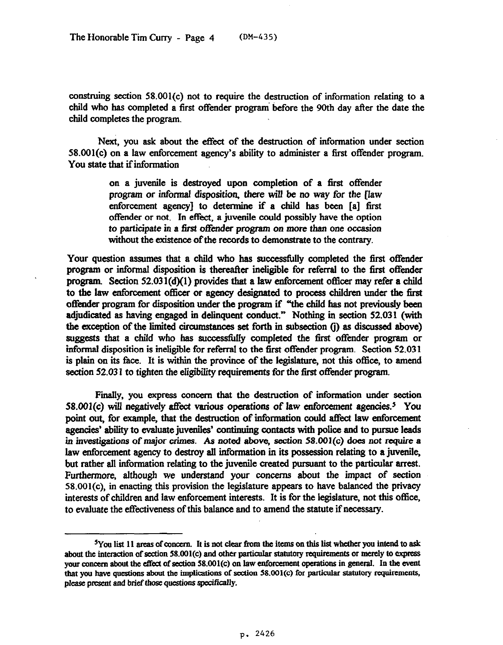construing section 58.001(c) not to require the destruction of information relating to a child who has completed a first offender program before the 90th day after the date the child completes the program.

Next, you ask about the effect of the destruction of information under section 58.001(c) on a law enforcement agency's ability to administer a first offender program. You state that if information

> on a juvenile is destroyed upon completion of a first offender program or informal disposition, there will be no way for the flaw enforcement agency] to determine if a child has been [a] first offender or not. In effect, a juvenile could possibly have the option to participate in a tirst offender program *on more than one* occasion without the existence of the records to demonstrate to the contrary.

Your question assumes that a child who has successfully completed the first offender program or informal disposition is thereafter ineligible for referral to the first offender program. Section 52.03 l(d)(l) provides that a law enforcement officer may refer a child to the law enforcement officer or agency designated to process children under the first offender program for disposition under the program if "the child has not previously been adjudicated as having engaged in delinquent conduct." Nothing in section 52.031 (with the exception of the limited circumstances set forth in subsection (j) as discussed above) suggests that a child who has successtidly completed the tirst offender program or informal disposition is ineligible for referral to the first offender program. Section 52.031 is plain on its face. It is within the province of the legislature, not this office, to amend section 52.031 to tighten the eligibility requirements for the first offender program.

Finally, you express concern that the destruction of information under section 58.001(c) will negatively affect various operations of law enforcement agencies.<sup>5</sup> You point out, for example, that the destruction of information could affect law enforcement agencies' ability to evaluate juveniles' continuing contacts with police and to pursue leads in investigations of major crimes. As noted above, *section* 58.001(c) does *not require* a law enforcement agency to destroy all information in its possession relating to a juvenile, but rather all information relating to the juvenile created pursuant to the particular arrest. Furthermore, although we understand your concerns about the impact of section 58.001(c), in enacting this provision the legislature appears to have balanced the privacy interests of children and law enforcement interests. It is for the legislature, not this **office,**  to evaluate the effectiveness of this balance and to amend the statute if necessary.

<sup>&</sup>lt;sup>5</sup>You list 11 areas of concern. It is not clear from the items on this list whether you intend to ask about the interaction of section 58.001(c) and other particular statutory requirements or merely to express your concern about the effect of section 58.001(c) on law enforcement operations in general. In the event **that you have questions aboul the implications of section 58.001(c) for particular statutory requirements,**  please present and brief those questions specifically.